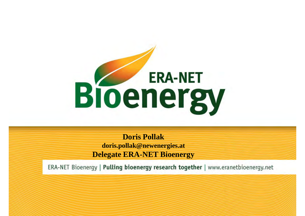

**Doris Pollak doris.pollak@newenergies.at Delegate ERA-NET Bioenergy**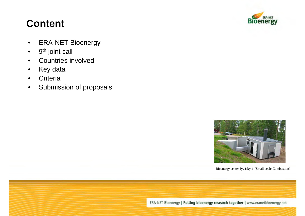### **Content**

- ERA-NET Bioenergy
- 9<sup>th</sup> joint call
- Countries involved
- Key data
- Criteria
- Submission of proposals





Bioenergy center Jyväskylä (Small-scale Combustion)

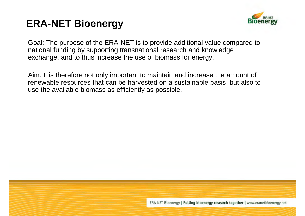### **ERA-NET Bioenergy**



Goal: The purpose of the ERA-NET is to provide additional value compared to national funding by supporting transnational research and knowledge exchange, and to thus increase the use of biomass for energy.

Aim: It is therefore not only important to maintain and increase the amount of renewable resources that can be harvested on a sustainable basis, but also to use the available biomass as efficiently as possible.

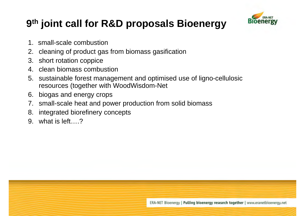### **9th joint call for R&D proposals Bioenergy**



- 1. small-scale combustion
- 2. cleaning of product gas from biomass gasification
- 3. short rotation coppice
- 4. clean biomass combustion
- 5. sustainable forest management and optimised use of ligno-cellulosic resources (together with WoodWisdom-Net
- 6. biogas and energy crops
- 7. small-scale heat and power production from solid biomass
- 8. integrated biorefinery concepts
- 9. what is left 2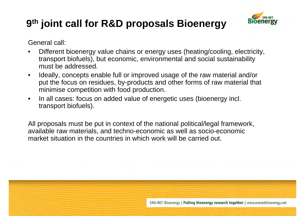## **9th joint call for R&D proposals Bioenergy**



General call:

- Different bioenergy value chains or energy uses (heating/cooling, electricity, transport biofuels), but economic, environmental and social sustainability must be addressed.
- Ideally, concepts enable full or improved usage of the raw material and/or put the focus on residues, by-products and other forms of raw material that minimise competition with food production.
- In all cases: focus on added value of energetic uses (bioenergy incl. transport biofuels).

All proposals must be put in context of the national political/legal framework, available raw materials, and techno-economic as well as socio-economic market situation in the countries in which work will be carried out.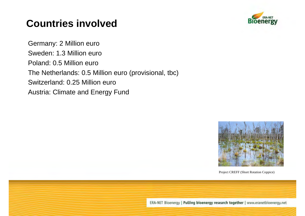### **Countries involved**

Germany: 2 Million euro Sweden: 1.3 Million euro Poland: 0.5 Million euro The Netherlands: 0.5 Million euro (provisional, tbc) Switzerland: 0.25 Million euro Austria: Climate and Energy Fund





Project CREFF (Short Rotation Coppice)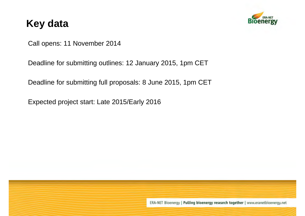### **Key data**



Call opens: 11 November 2014

Deadline for submitting outlines: 12 January 2015, 1pm CET

Deadline for submitting full proposals: 8 June 2015, 1pm CET

Expected project start: Late 2015/Early 2016

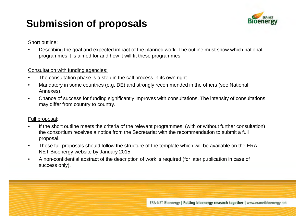### **Submission of proposals**



#### Short outline:

• Describing the goal and expected impact of the planned work. The outline must show which national programmes it is aimed for and how it will fit these programmes.

#### Consultation with funding agencies:

- The consultation phase is a step in the call process in its own right.
- Mandatory in some countries (e.g. DE) and strongly recommended in the others (see National Annexes).
- Chance of success for funding significantly improves with consultations. The intensity of consultations may differ from country to country.

#### Full proposal:

- If the short outline meets the criteria of the relevant programmes, (with or without further consultation) the consortium receives a notice from the Secretariat with the recommendation to submit a full proposal.
- These full proposals should follow the structure of the template which will be available on the ERA-NET Bioenergy website by January 2015.
- A non-confidential abstract of the description of work is required (for later publication in case of success only).

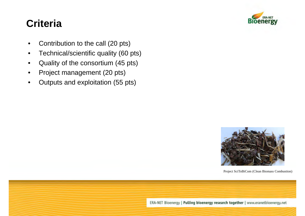# Bloel

### **Criteria**

- Contribution to the call (20 pts)
- Technical/scientific quality (60 pts)
- Quality of the consortium (45 pts)
- Project management (20 pts)
- Outputs and exploitation (55 pts)



Project SciToBiCom (Clean Biomass Combustion)